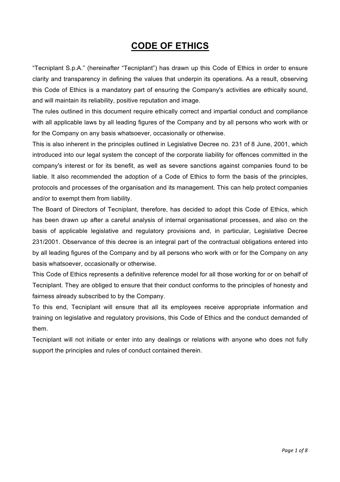# **CODE OF ETHICS**

"Tecniplant S.p.A." (hereinafter "Tecniplant") has drawn up this Code of Ethics in order to ensure clarity and transparency in defining the values that underpin its operations. As a result, observing this Code of Ethics is a mandatory part of ensuring the Company's activities are ethically sound, and will maintain its reliability, positive reputation and image.

The rules outlined in this document require ethically correct and impartial conduct and compliance with all applicable laws by all leading figures of the Company and by all persons who work with or for the Company on any basis whatsoever, occasionally or otherwise.

This is also inherent in the principles outlined in Legislative Decree no. 231 of 8 June, 2001, which introduced into our legal system the concept of the corporate liability for offences committed in the company's interest or for its benefit, as well as severe sanctions against companies found to be liable. It also recommended the adoption of a Code of Ethics to form the basis of the principles, protocols and processes of the organisation and its management. This can help protect companies and/or to exempt them from liability.

The Board of Directors of Tecniplant, therefore, has decided to adopt this Code of Ethics, which has been drawn up after a careful analysis of internal organisational processes, and also on the basis of applicable legislative and regulatory provisions and, in particular, Legislative Decree 231/2001. Observance of this decree is an integral part of the contractual obligations entered into by all leading figures of the Company and by all persons who work with or for the Company on any basis whatsoever, occasionally or otherwise.

This Code of Ethics represents a definitive reference model for all those working for or on behalf of Tecniplant. They are obliged to ensure that their conduct conforms to the principles of honesty and fairness already subscribed to by the Company.

To this end, Tecniplant will ensure that all its employees receive appropriate information and training on legislative and regulatory provisions, this Code of Ethics and the conduct demanded of them.

Tecniplant will not initiate or enter into any dealings or relations with anyone who does not fully support the principles and rules of conduct contained therein.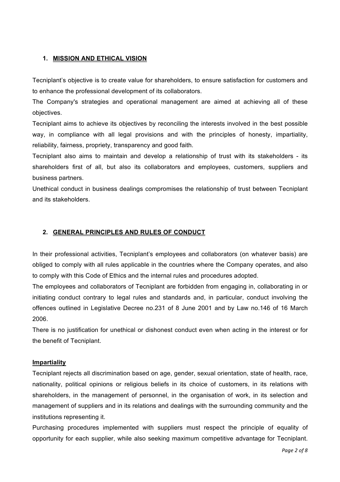## **1. MISSION AND ETHICAL VISION**

Tecniplant's objective is to create value for shareholders, to ensure satisfaction for customers and to enhance the professional development of its collaborators.

The Company's strategies and operational management are aimed at achieving all of these objectives.

Tecniplant aims to achieve its objectives by reconciling the interests involved in the best possible way, in compliance with all legal provisions and with the principles of honesty, impartiality, reliability, fairness, propriety, transparency and good faith.

Tecniplant also aims to maintain and develop a relationship of trust with its stakeholders - its shareholders first of all, but also its collaborators and employees, customers, suppliers and business partners.

Unethical conduct in business dealings compromises the relationship of trust between Tecniplant and its stakeholders.

## **2. GENERAL PRINCIPLES AND RULES OF CONDUCT**

In their professional activities, Tecniplant's employees and collaborators (on whatever basis) are obliged to comply with all rules applicable in the countries where the Company operates, and also to comply with this Code of Ethics and the internal rules and procedures adopted.

The employees and collaborators of Tecniplant are forbidden from engaging in, collaborating in or initiating conduct contrary to legal rules and standards and, in particular, conduct involving the offences outlined in Legislative Decree no.231 of 8 June 2001 and by Law no.146 of 16 March 2006.

There is no justification for unethical or dishonest conduct even when acting in the interest or for the benefit of Tecniplant.

#### **Impartiality**

Tecniplant rejects all discrimination based on age, gender, sexual orientation, state of health, race, nationality, political opinions or religious beliefs in its choice of customers, in its relations with shareholders, in the management of personnel, in the organisation of work, in its selection and management of suppliers and in its relations and dealings with the surrounding community and the institutions representing it.

Purchasing procedures implemented with suppliers must respect the principle of equality of opportunity for each supplier, while also seeking maximum competitive advantage for Tecniplant.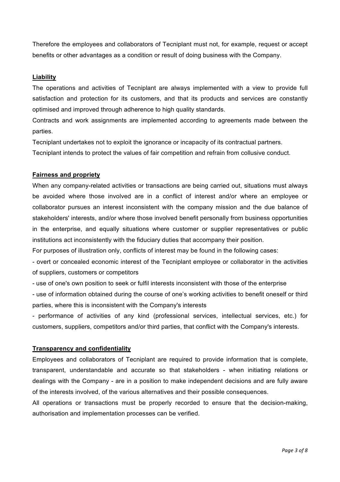Therefore the employees and collaborators of Tecniplant must not, for example, request or accept benefits or other advantages as a condition or result of doing business with the Company.

## **Liability**

The operations and activities of Tecniplant are always implemented with a view to provide full satisfaction and protection for its customers, and that its products and services are constantly optimised and improved through adherence to high quality standards.

Contracts and work assignments are implemented according to agreements made between the parties.

Tecniplant undertakes not to exploit the ignorance or incapacity of its contractual partners.

Tecniplant intends to protect the values of fair competition and refrain from collusive conduct.

#### **Fairness and propriety**

When any company-related activities or transactions are being carried out, situations must always be avoided where those involved are in a conflict of interest and/or where an employee or collaborator pursues an interest inconsistent with the company mission and the due balance of stakeholders' interests, and/or where those involved benefit personally from business opportunities in the enterprise, and equally situations where customer or supplier representatives or public institutions act inconsistently with the fiduciary duties that accompany their position.

For purposes of illustration only, conflicts of interest may be found in the following cases:

- overt or concealed economic interest of the Tecniplant employee or collaborator in the activities of suppliers, customers or competitors

- use of one's own position to seek or fulfil interests inconsistent with those of the enterprise

- use of information obtained during the course of one's working activities to benefit oneself or third parties, where this is inconsistent with the Company's interests

- performance of activities of any kind (professional services, intellectual services, etc.) for customers, suppliers, competitors and/or third parties, that conflict with the Company's interests.

#### **Transparency and confidentiality**

Employees and collaborators of Tecniplant are required to provide information that is complete, transparent, understandable and accurate so that stakeholders - when initiating relations or dealings with the Company - are in a position to make independent decisions and are fully aware of the interests involved, of the various alternatives and their possible consequences.

All operations or transactions must be properly recorded to ensure that the decision-making, authorisation and implementation processes can be verified.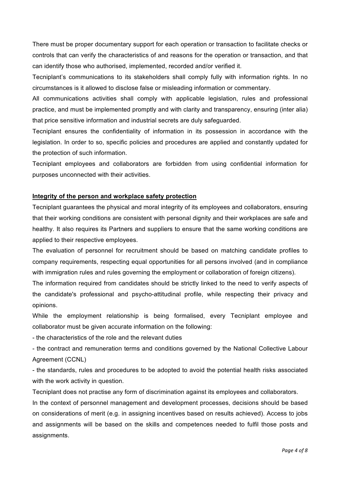There must be proper documentary support for each operation or transaction to facilitate checks or controls that can verify the characteristics of and reasons for the operation or transaction, and that can identify those who authorised, implemented, recorded and/or verified it.

Tecniplant's communications to its stakeholders shall comply fully with information rights. In no circumstances is it allowed to disclose false or misleading information or commentary.

All communications activities shall comply with applicable legislation, rules and professional practice, and must be implemented promptly and with clarity and transparency, ensuring (inter alia) that price sensitive information and industrial secrets are duly safeguarded.

Tecniplant ensures the confidentiality of information in its possession in accordance with the legislation. In order to so, specific policies and procedures are applied and constantly updated for the protection of such information.

Tecniplant employees and collaborators are forbidden from using confidential information for purposes unconnected with their activities.

## **Integrity of the person and workplace safety protection**

Tecniplant guarantees the physical and moral integrity of its employees and collaborators, ensuring that their working conditions are consistent with personal dignity and their workplaces are safe and healthy. It also requires its Partners and suppliers to ensure that the same working conditions are applied to their respective employees.

The evaluation of personnel for recruitment should be based on matching candidate profiles to company requirements, respecting equal opportunities for all persons involved (and in compliance with immigration rules and rules governing the employment or collaboration of foreign citizens).

The information required from candidates should be strictly linked to the need to verify aspects of the candidate's professional and psycho-attitudinal profile, while respecting their privacy and opinions.

While the employment relationship is being formalised, every Tecniplant employee and collaborator must be given accurate information on the following:

- the characteristics of the role and the relevant duties

- the contract and remuneration terms and conditions governed by the National Collective Labour Agreement (CCNL)

- the standards, rules and procedures to be adopted to avoid the potential health risks associated with the work activity in question.

Tecniplant does not practise any form of discrimination against its employees and collaborators.

In the context of personnel management and development processes, decisions should be based on considerations of merit (e.g. in assigning incentives based on results achieved). Access to jobs and assignments will be based on the skills and competences needed to fulfil those posts and assignments.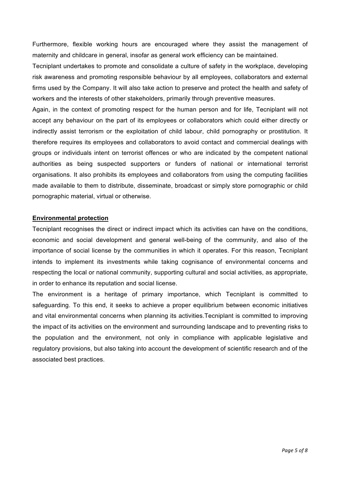Furthermore, flexible working hours are encouraged where they assist the management of maternity and childcare in general, insofar as general work efficiency can be maintained.

Tecniplant undertakes to promote and consolidate a culture of safety in the workplace, developing risk awareness and promoting responsible behaviour by all employees, collaborators and external firms used by the Company. It will also take action to preserve and protect the health and safety of workers and the interests of other stakeholders, primarily through preventive measures.

Again, in the context of promoting respect for the human person and for life, Tecniplant will not accept any behaviour on the part of its employees or collaborators which could either directly or indirectly assist terrorism or the exploitation of child labour, child pornography or prostitution. It therefore requires its employees and collaborators to avoid contact and commercial dealings with groups or individuals intent on terrorist offences or who are indicated by the competent national authorities as being suspected supporters or funders of national or international terrorist organisations. It also prohibits its employees and collaborators from using the computing facilities made available to them to distribute, disseminate, broadcast or simply store pornographic or child pornographic material, virtual or otherwise.

#### **Environmental protection**

Tecniplant recognises the direct or indirect impact which its activities can have on the conditions, economic and social development and general well-being of the community, and also of the importance of social license by the communities in which it operates. For this reason, Tecniplant intends to implement its investments while taking cognisance of environmental concerns and respecting the local or national community, supporting cultural and social activities, as appropriate, in order to enhance its reputation and social license.

The environment is a heritage of primary importance, which Tecniplant is committed to safeguarding. To this end, it seeks to achieve a proper equilibrium between economic initiatives and vital environmental concerns when planning its activities.Tecniplant is committed to improving the impact of its activities on the environment and surrounding landscape and to preventing risks to the population and the environment, not only in compliance with applicable legislative and regulatory provisions, but also taking into account the development of scientific research and of the associated best practices.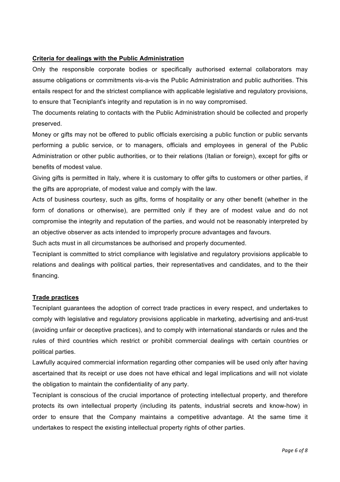## **Criteria for dealings with the Public Administration**

Only the responsible corporate bodies or specifically authorised external collaborators may assume obligations or commitments vis-a-vis the Public Administration and public authorities. This entails respect for and the strictest compliance with applicable legislative and regulatory provisions, to ensure that Tecniplant's integrity and reputation is in no way compromised.

The documents relating to contacts with the Public Administration should be collected and properly preserved.

Money or gifts may not be offered to public officials exercising a public function or public servants performing a public service, or to managers, officials and employees in general of the Public Administration or other public authorities, or to their relations (Italian or foreign), except for gifts or benefits of modest value.

Giving gifts is permitted in Italy, where it is customary to offer gifts to customers or other parties, if the gifts are appropriate, of modest value and comply with the law.

Acts of business courtesy, such as gifts, forms of hospitality or any other benefit (whether in the form of donations or otherwise), are permitted only if they are of modest value and do not compromise the integrity and reputation of the parties, and would not be reasonably interpreted by an objective observer as acts intended to improperly procure advantages and favours.

Such acts must in all circumstances be authorised and properly documented.

Tecniplant is committed to strict compliance with legislative and regulatory provisions applicable to relations and dealings with political parties, their representatives and candidates, and to the their financing.

#### **Trade practices**

Tecniplant guarantees the adoption of correct trade practices in every respect, and undertakes to comply with legislative and regulatory provisions applicable in marketing, advertising and anti-trust (avoiding unfair or deceptive practices), and to comply with international standards or rules and the rules of third countries which restrict or prohibit commercial dealings with certain countries or political parties.

Lawfully acquired commercial information regarding other companies will be used only after having ascertained that its receipt or use does not have ethical and legal implications and will not violate the obligation to maintain the confidentiality of any party.

Tecniplant is conscious of the crucial importance of protecting intellectual property, and therefore protects its own intellectual property (including its patents, industrial secrets and know-how) in order to ensure that the Company maintains a competitive advantage. At the same time it undertakes to respect the existing intellectual property rights of other parties.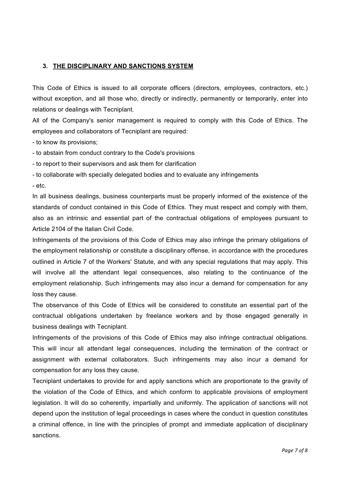## **3. THE DISCIPLINARY AND SANCTIONS SYSTEM**

This Code of Ethics is issued to all corporate officers (directors, employees, contractors, etc.) without exception, and all those who, directly or indirectly, permanently or temporarily, enter into relations or dealings with Tecniplant.

All of the Company's senior management is required to comply with this Code of Ethics. The employees and collaborators of Tecniplant are required:

- to know its provisions;

- to abstain from conduct contrary to the Code's provisions

- to report to their supervisors and ask them for clarification

- to collaborate with specially delegated bodies and to evaluate any infringements

- etc.

In all business dealings, business counterparts must be properly informed of the existence of the standards of conduct contained in this Code of Ethics. They must respect and comply with them, also as an intrinsic and essential part of the contractual obligations of employees pursuant to Article 2104 of the Italian Civil Code.

Infringements of the provisions of this Code of Ethics may also infringe the primary obligations of the employment relationship or constitute a disciplinary offense, in accordance with the procedures outlined in Article 7 of the Workers' Statute, and with any special regulations that may apply. This will involve all the attendant legal consequences, also relating to the continuance of the employment relationship. Such infringements may also incur a demand for compensation for any loss they cause.

The observance of this Code of Ethics will be considered to constitute an essential part of the contractual obligations undertaken by freelance workers and by those engaged generally in business dealings with Tecniplant.

Infringements of the provisions of this Code of Ethics may also infringe contractual obligations. This will incur all attendant legal consequences, including the termination of the contract or assignment with external collaborators. Such infringements may also incur a demand for compensation for any loss they cause.

Tecniplant undertakes to provide for and apply sanctions which are proportionate to the gravity of the violation of the Code of Ethics, and which conform to applicable provisions of employment legislation. It will do so coherently, impartially and uniformly. The application of sanctions will not depend upon the institution of legal proceedings in cases where the conduct in question constitutes a criminal offence, in line with the principles of prompt and immediate application of disciplinary sanctions.